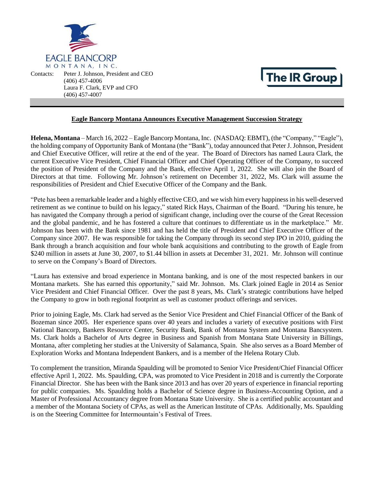

Contacts: Peter J. Johnson, President and CEO (406) 457-4006 Laura F. Clark, EVP and CFO (406) 457-4007

## **The IR Group**

## **Eagle Bancorp Montana Announces Executive Management Succession Strategy**

**Helena, Montana** – March 16, 2022 – Eagle Bancorp Montana, Inc. (NASDAQ: EBMT), (the "Company," "Eagle"), the holding company of Opportunity Bank of Montana (the "Bank"), today announced that PeterJ.Johnson, President and Chief Executive Officer, will retire at the end of the year. The Board of Directors has named Laura Clark, the current Executive Vice President, Chief Financial Officer and Chief Operating Officer of the Company, to succeed the position of President of the Company and the Bank, effective April 1, 2022. She will also join the Board of Directors at that time. Following Mr. Johnson's retirement on December 31, 2022, Ms. Clark will assume the responsibilities of President and Chief Executive Officer of the Company and the Bank.

"Pete has been a remarkable leader and a highly effective CEO, and we wish him every happinessin his well-deserved retirement as we continue to build on his legacy," stated Rick Hays, Chairman of the Board. "During his tenure, he has navigated the Company through a period of significant change, including over the course of the Great Recession and the global pandemic, and he has fostered a culture that continues to differentiate us in the marketplace." Mr. Johnson has been with the Bank since 1981 and has held the title of President and Chief Executive Officer of the Company since 2007. He was responsible for taking the Company through its second step IPO in 2010, guiding the Bank through a branch acquisition and four whole bank acquisitions and contributing to the growth of Eagle from \$240 million in assets at June 30, 2007, to \$1.44 billion in assets at December 31, 2021. Mr. Johnson will continue to serve on the Company's Board of Directors.

"Laura has extensive and broad experience in Montana banking, and is one of the most respected bankers in our Montana markets. She has earned this opportunity," said Mr. Johnson. Ms. Clark joined Eagle in 2014 as Senior Vice President and Chief Financial Officer. Over the past 8 years, Ms. Clark's strategic contributions have helped the Company to grow in both regional footprint as well as customer product offerings and services.

Prior to joining Eagle, Ms. Clark had served as the Senior Vice President and Chief Financial Officer of the Bank of Bozeman since 2005. Her experience spans over 40 years and includes a variety of executive positions with First National Bancorp, Bankers Resource Center, Security Bank, Bank of Montana System and Montana Bancsystem. Ms. Clark holds a Bachelor of Arts degree in Business and Spanish from Montana State University in Billings, Montana, after completing her studies at the University of Salamanca, Spain. She also serves as a Board Member of Exploration Works and Montana Independent Bankers, and is a member of the Helena Rotary Club.

To complement the transition, Miranda Spaulding will be promoted to Senior Vice President/Chief Financial Officer effective April 1, 2022. Ms. Spaulding, CPA, was promoted to Vice President in 2018 and is currently the Corporate Financial Director. She has been with the Bank since 2013 and has over 20 years of experience in financial reporting for public companies. Ms. Spaulding holds a Bachelor of Science degree in Business-Accounting Option, and a Master of Professional Accountancy degree from Montana State University. She is a certified public accountant and a member of the Montana Society of CPAs, as well as the American Institute of CPAs. Additionally, Ms. Spaulding is on the Steering Committee for Intermountain's Festival of Trees.